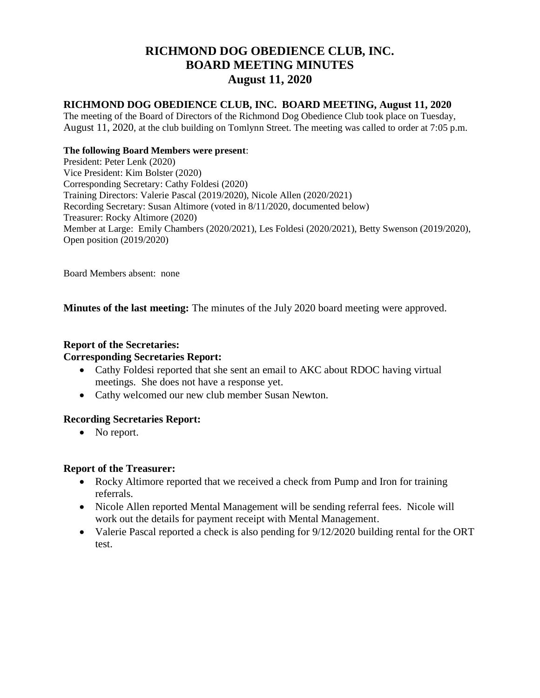# **RICHMOND DOG OBEDIENCE CLUB, INC. BOARD MEETING MINUTES August 11, 2020**

# **RICHMOND DOG OBEDIENCE CLUB, INC. BOARD MEETING, August 11, 2020**

The meeting of the Board of Directors of the Richmond Dog Obedience Club took place on Tuesday, August 11, 2020, at the club building on Tomlynn Street. The meeting was called to order at 7:05 p.m.

# **The following Board Members were present**:

President: Peter Lenk (2020) Vice President: Kim Bolster (2020) Corresponding Secretary: Cathy Foldesi (2020) Training Directors: Valerie Pascal (2019/2020), Nicole Allen (2020/2021) Recording Secretary: Susan Altimore (voted in 8/11/2020, documented below) Treasurer: Rocky Altimore (2020) Member at Large: Emily Chambers (2020/2021), Les Foldesi (2020/2021), Betty Swenson (2019/2020), Open position (2019/2020)

Board Members absent: none

**Minutes of the last meeting:** The minutes of the July 2020 board meeting were approved.

# **Report of the Secretaries:**

# **Corresponding Secretaries Report:**

- Cathy Foldesi reported that she sent an email to AKC about RDOC having virtual meetings. She does not have a response yet.
- Cathy welcomed our new club member Susan Newton.

# **Recording Secretaries Report:**

• No report.

# **Report of the Treasurer:**

- Rocky Altimore reported that we received a check from Pump and Iron for training referrals.
- Nicole Allen reported Mental Management will be sending referral fees. Nicole will work out the details for payment receipt with Mental Management.
- Valerie Pascal reported a check is also pending for  $9/12/2020$  building rental for the ORT test.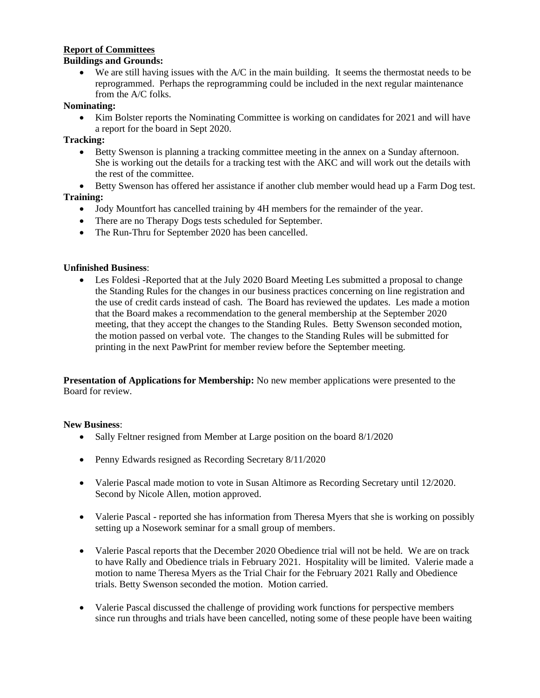# **Report of Committees**

## **Buildings and Grounds:**

We are still having issues with the A/C in the main building. It seems the thermostat needs to be reprogrammed. Perhaps the reprogramming could be included in the next regular maintenance from the A/C folks.

#### **Nominating:**

• Kim Bolster reports the Nominating Committee is working on candidates for 2021 and will have a report for the board in Sept 2020.

## **Tracking:**

- Betty Swenson is planning a tracking committee meeting in the annex on a Sunday afternoon. She is working out the details for a tracking test with the AKC and will work out the details with the rest of the committee.
- Betty Swenson has offered her assistance if another club member would head up a Farm Dog test. **Training:** 
	- Jody Mountfort has cancelled training by 4H members for the remainder of the year.
	- There are no Therapy Dogs tests scheduled for September.
	- The Run-Thru for September 2020 has been cancelled.

## **Unfinished Business**:

 Les Foldesi -Reported that at the July 2020 Board Meeting Les submitted a proposal to change the Standing Rules for the changes in our business practices concerning on line registration and the use of credit cards instead of cash. The Board has reviewed the updates. Les made a motion that the Board makes a recommendation to the general membership at the September 2020 meeting, that they accept the changes to the Standing Rules. Betty Swenson seconded motion, the motion passed on verbal vote. The changes to the Standing Rules will be submitted for printing in the next PawPrint for member review before the September meeting.

**Presentation of Applications for Membership:** No new member applications were presented to the Board for review.

#### **New Business**:

- Sally Feltner resigned from Member at Large position on the board 8/1/2020
- Penny Edwards resigned as Recording Secretary 8/11/2020
- Valerie Pascal made motion to vote in Susan Altimore as Recording Secretary until 12/2020. Second by Nicole Allen, motion approved.
- Valerie Pascal reported she has information from Theresa Myers that she is working on possibly setting up a Nosework seminar for a small group of members.
- Valerie Pascal reports that the December 2020 Obedience trial will not be held. We are on track to have Rally and Obedience trials in February 2021. Hospitality will be limited. Valerie made a motion to name Theresa Myers as the Trial Chair for the February 2021 Rally and Obedience trials. Betty Swenson seconded the motion. Motion carried.
- Valerie Pascal discussed the challenge of providing work functions for perspective members since run throughs and trials have been cancelled, noting some of these people have been waiting